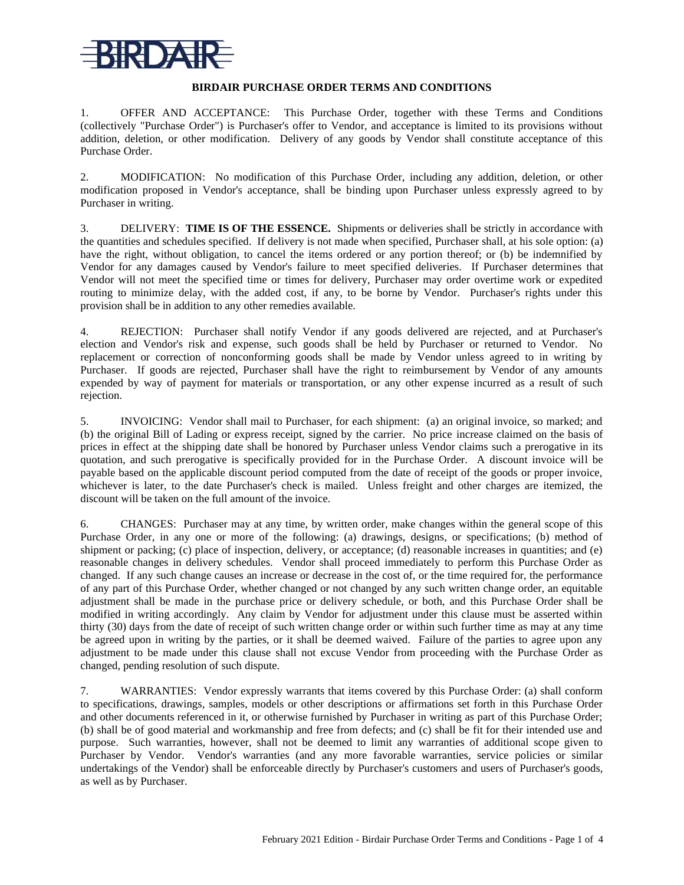

## **BIRDAIR PURCHASE ORDER TERMS AND CONDITIONS**

1. OFFER AND ACCEPTANCE: This Purchase Order, together with these Terms and Conditions (collectively "Purchase Order") is Purchaser's offer to Vendor, and acceptance is limited to its provisions without addition, deletion, or other modification. Delivery of any goods by Vendor shall constitute acceptance of this Purchase Order.

2. MODIFICATION: No modification of this Purchase Order, including any addition, deletion, or other modification proposed in Vendor's acceptance, shall be binding upon Purchaser unless expressly agreed to by Purchaser in writing.

3. DELIVERY: **TIME IS OF THE ESSENCE.** Shipments or deliveries shall be strictly in accordance with the quantities and schedules specified. If delivery is not made when specified, Purchaser shall, at his sole option: (a) have the right, without obligation, to cancel the items ordered or any portion thereof; or (b) be indemnified by Vendor for any damages caused by Vendor's failure to meet specified deliveries. If Purchaser determines that Vendor will not meet the specified time or times for delivery, Purchaser may order overtime work or expedited routing to minimize delay, with the added cost, if any, to be borne by Vendor. Purchaser's rights under this provision shall be in addition to any other remedies available.

4. REJECTION: Purchaser shall notify Vendor if any goods delivered are rejected, and at Purchaser's election and Vendor's risk and expense, such goods shall be held by Purchaser or returned to Vendor. No replacement or correction of nonconforming goods shall be made by Vendor unless agreed to in writing by Purchaser. If goods are rejected, Purchaser shall have the right to reimbursement by Vendor of any amounts expended by way of payment for materials or transportation, or any other expense incurred as a result of such rejection.

5. INVOICING: Vendor shall mail to Purchaser, for each shipment: (a) an original invoice, so marked; and (b) the original Bill of Lading or express receipt, signed by the carrier. No price increase claimed on the basis of prices in effect at the shipping date shall be honored by Purchaser unless Vendor claims such a prerogative in its quotation, and such prerogative is specifically provided for in the Purchase Order. A discount invoice will be payable based on the applicable discount period computed from the date of receipt of the goods or proper invoice, whichever is later, to the date Purchaser's check is mailed. Unless freight and other charges are itemized, the discount will be taken on the full amount of the invoice.

6. CHANGES: Purchaser may at any time, by written order, make changes within the general scope of this Purchase Order, in any one or more of the following: (a) drawings, designs, or specifications; (b) method of shipment or packing; (c) place of inspection, delivery, or acceptance; (d) reasonable increases in quantities; and (e) reasonable changes in delivery schedules. Vendor shall proceed immediately to perform this Purchase Order as changed. If any such change causes an increase or decrease in the cost of, or the time required for, the performance of any part of this Purchase Order, whether changed or not changed by any such written change order, an equitable adjustment shall be made in the purchase price or delivery schedule, or both, and this Purchase Order shall be modified in writing accordingly. Any claim by Vendor for adjustment under this clause must be asserted within thirty (30) days from the date of receipt of such written change order or within such further time as may at any time be agreed upon in writing by the parties, or it shall be deemed waived. Failure of the parties to agree upon any adjustment to be made under this clause shall not excuse Vendor from proceeding with the Purchase Order as changed, pending resolution of such dispute.

7. WARRANTIES: Vendor expressly warrants that items covered by this Purchase Order: (a) shall conform to specifications, drawings, samples, models or other descriptions or affirmations set forth in this Purchase Order and other documents referenced in it, or otherwise furnished by Purchaser in writing as part of this Purchase Order; (b) shall be of good material and workmanship and free from defects; and (c) shall be fit for their intended use and purpose. Such warranties, however, shall not be deemed to limit any warranties of additional scope given to Purchaser by Vendor. Vendor's warranties (and any more favorable warranties, service policies or similar undertakings of the Vendor) shall be enforceable directly by Purchaser's customers and users of Purchaser's goods, as well as by Purchaser.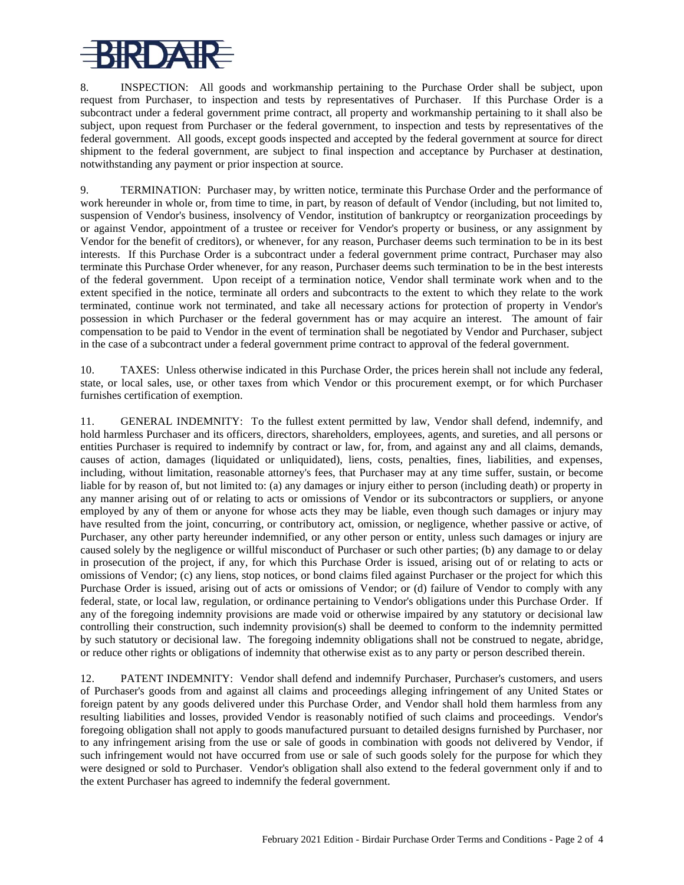## RDA

8. INSPECTION: All goods and workmanship pertaining to the Purchase Order shall be subject, upon request from Purchaser, to inspection and tests by representatives of Purchaser. If this Purchase Order is a subcontract under a federal government prime contract, all property and workmanship pertaining to it shall also be subject, upon request from Purchaser or the federal government, to inspection and tests by representatives of the federal government. All goods, except goods inspected and accepted by the federal government at source for direct shipment to the federal government, are subject to final inspection and acceptance by Purchaser at destination, notwithstanding any payment or prior inspection at source.

9. TERMINATION: Purchaser may, by written notice, terminate this Purchase Order and the performance of work hereunder in whole or, from time to time, in part, by reason of default of Vendor (including, but not limited to, suspension of Vendor's business, insolvency of Vendor, institution of bankruptcy or reorganization proceedings by or against Vendor, appointment of a trustee or receiver for Vendor's property or business, or any assignment by Vendor for the benefit of creditors), or whenever, for any reason, Purchaser deems such termination to be in its best interests. If this Purchase Order is a subcontract under a federal government prime contract, Purchaser may also terminate this Purchase Order whenever, for any reason, Purchaser deems such termination to be in the best interests of the federal government. Upon receipt of a termination notice, Vendor shall terminate work when and to the extent specified in the notice, terminate all orders and subcontracts to the extent to which they relate to the work terminated, continue work not terminated, and take all necessary actions for protection of property in Vendor's possession in which Purchaser or the federal government has or may acquire an interest. The amount of fair compensation to be paid to Vendor in the event of termination shall be negotiated by Vendor and Purchaser, subject in the case of a subcontract under a federal government prime contract to approval of the federal government.

10. TAXES: Unless otherwise indicated in this Purchase Order, the prices herein shall not include any federal, state, or local sales, use, or other taxes from which Vendor or this procurement exempt, or for which Purchaser furnishes certification of exemption.

11. GENERAL INDEMNITY: To the fullest extent permitted by law, Vendor shall defend, indemnify, and hold harmless Purchaser and its officers, directors, shareholders, employees, agents, and sureties, and all persons or entities Purchaser is required to indemnify by contract or law, for, from, and against any and all claims, demands, causes of action, damages (liquidated or unliquidated), liens, costs, penalties, fines, liabilities, and expenses, including, without limitation, reasonable attorney's fees, that Purchaser may at any time suffer, sustain, or become liable for by reason of, but not limited to: (a) any damages or injury either to person (including death) or property in any manner arising out of or relating to acts or omissions of Vendor or its subcontractors or suppliers, or anyone employed by any of them or anyone for whose acts they may be liable, even though such damages or injury may have resulted from the joint, concurring, or contributory act, omission, or negligence, whether passive or active, of Purchaser, any other party hereunder indemnified, or any other person or entity, unless such damages or injury are caused solely by the negligence or willful misconduct of Purchaser or such other parties; (b) any damage to or delay in prosecution of the project, if any, for which this Purchase Order is issued, arising out of or relating to acts or omissions of Vendor; (c) any liens, stop notices, or bond claims filed against Purchaser or the project for which this Purchase Order is issued, arising out of acts or omissions of Vendor; or (d) failure of Vendor to comply with any federal, state, or local law, regulation, or ordinance pertaining to Vendor's obligations under this Purchase Order. If any of the foregoing indemnity provisions are made void or otherwise impaired by any statutory or decisional law controlling their construction, such indemnity provision(s) shall be deemed to conform to the indemnity permitted by such statutory or decisional law. The foregoing indemnity obligations shall not be construed to negate, abridge, or reduce other rights or obligations of indemnity that otherwise exist as to any party or person described therein.

12. PATENT INDEMNITY: Vendor shall defend and indemnify Purchaser, Purchaser's customers, and users of Purchaser's goods from and against all claims and proceedings alleging infringement of any United States or foreign patent by any goods delivered under this Purchase Order, and Vendor shall hold them harmless from any resulting liabilities and losses, provided Vendor is reasonably notified of such claims and proceedings. Vendor's foregoing obligation shall not apply to goods manufactured pursuant to detailed designs furnished by Purchaser, nor to any infringement arising from the use or sale of goods in combination with goods not delivered by Vendor, if such infringement would not have occurred from use or sale of such goods solely for the purpose for which they were designed or sold to Purchaser. Vendor's obligation shall also extend to the federal government only if and to the extent Purchaser has agreed to indemnify the federal government.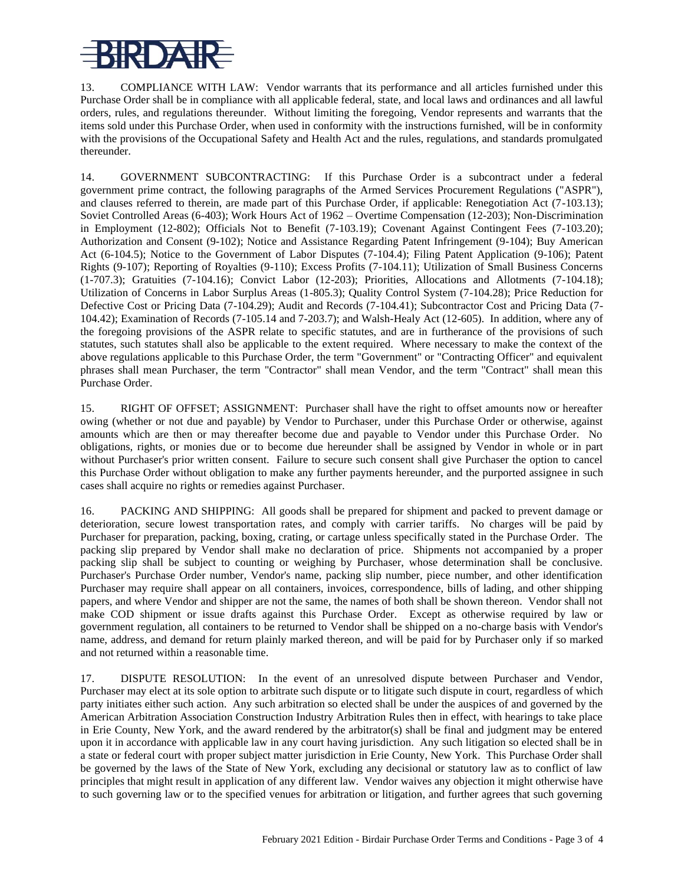## RDA

13. COMPLIANCE WITH LAW: Vendor warrants that its performance and all articles furnished under this Purchase Order shall be in compliance with all applicable federal, state, and local laws and ordinances and all lawful orders, rules, and regulations thereunder. Without limiting the foregoing, Vendor represents and warrants that the items sold under this Purchase Order, when used in conformity with the instructions furnished, will be in conformity with the provisions of the Occupational Safety and Health Act and the rules, regulations, and standards promulgated thereunder.

14. GOVERNMENT SUBCONTRACTING: If this Purchase Order is a subcontract under a federal government prime contract, the following paragraphs of the Armed Services Procurement Regulations ("ASPR"), and clauses referred to therein, are made part of this Purchase Order, if applicable: Renegotiation Act (7-103.13); Soviet Controlled Areas (6-403); Work Hours Act of 1962 – Overtime Compensation (12-203); Non-Discrimination in Employment (12-802); Officials Not to Benefit (7-103.19); Covenant Against Contingent Fees (7-103.20); Authorization and Consent (9-102); Notice and Assistance Regarding Patent Infringement (9-104); Buy American Act (6-104.5); Notice to the Government of Labor Disputes (7-104.4); Filing Patent Application (9-106); Patent Rights (9-107); Reporting of Royalties (9-110); Excess Profits (7-104.11); Utilization of Small Business Concerns (1-707.3); Gratuities (7-104.16); Convict Labor (12-203); Priorities, Allocations and Allotments (7-104.18); Utilization of Concerns in Labor Surplus Areas (1-805.3); Quality Control System (7-104.28); Price Reduction for Defective Cost or Pricing Data (7-104.29); Audit and Records (7-104.41); Subcontractor Cost and Pricing Data (7- 104.42); Examination of Records (7-105.14 and 7-203.7); and Walsh-Healy Act (12-605). In addition, where any of the foregoing provisions of the ASPR relate to specific statutes, and are in furtherance of the provisions of such statutes, such statutes shall also be applicable to the extent required. Where necessary to make the context of the above regulations applicable to this Purchase Order, the term "Government" or "Contracting Officer" and equivalent phrases shall mean Purchaser, the term "Contractor" shall mean Vendor, and the term "Contract" shall mean this Purchase Order.

15. RIGHT OF OFFSET; ASSIGNMENT: Purchaser shall have the right to offset amounts now or hereafter owing (whether or not due and payable) by Vendor to Purchaser, under this Purchase Order or otherwise, against amounts which are then or may thereafter become due and payable to Vendor under this Purchase Order. No obligations, rights, or monies due or to become due hereunder shall be assigned by Vendor in whole or in part without Purchaser's prior written consent. Failure to secure such consent shall give Purchaser the option to cancel this Purchase Order without obligation to make any further payments hereunder, and the purported assignee in such cases shall acquire no rights or remedies against Purchaser.

16. PACKING AND SHIPPING: All goods shall be prepared for shipment and packed to prevent damage or deterioration, secure lowest transportation rates, and comply with carrier tariffs. No charges will be paid by Purchaser for preparation, packing, boxing, crating, or cartage unless specifically stated in the Purchase Order. The packing slip prepared by Vendor shall make no declaration of price. Shipments not accompanied by a proper packing slip shall be subject to counting or weighing by Purchaser, whose determination shall be conclusive. Purchaser's Purchase Order number, Vendor's name, packing slip number, piece number, and other identification Purchaser may require shall appear on all containers, invoices, correspondence, bills of lading, and other shipping papers, and where Vendor and shipper are not the same, the names of both shall be shown thereon. Vendor shall not make COD shipment or issue drafts against this Purchase Order. Except as otherwise required by law or government regulation, all containers to be returned to Vendor shall be shipped on a no-charge basis with Vendor's name, address, and demand for return plainly marked thereon, and will be paid for by Purchaser only if so marked and not returned within a reasonable time.

17. DISPUTE RESOLUTION: In the event of an unresolved dispute between Purchaser and Vendor, Purchaser may elect at its sole option to arbitrate such dispute or to litigate such dispute in court, regardless of which party initiates either such action. Any such arbitration so elected shall be under the auspices of and governed by the American Arbitration Association Construction Industry Arbitration Rules then in effect, with hearings to take place in Erie County, New York, and the award rendered by the arbitrator(s) shall be final and judgment may be entered upon it in accordance with applicable law in any court having jurisdiction. Any such litigation so elected shall be in a state or federal court with proper subject matter jurisdiction in Erie County, New York. This Purchase Order shall be governed by the laws of the State of New York, excluding any decisional or statutory law as to conflict of law principles that might result in application of any different law. Vendor waives any objection it might otherwise have to such governing law or to the specified venues for arbitration or litigation, and further agrees that such governing